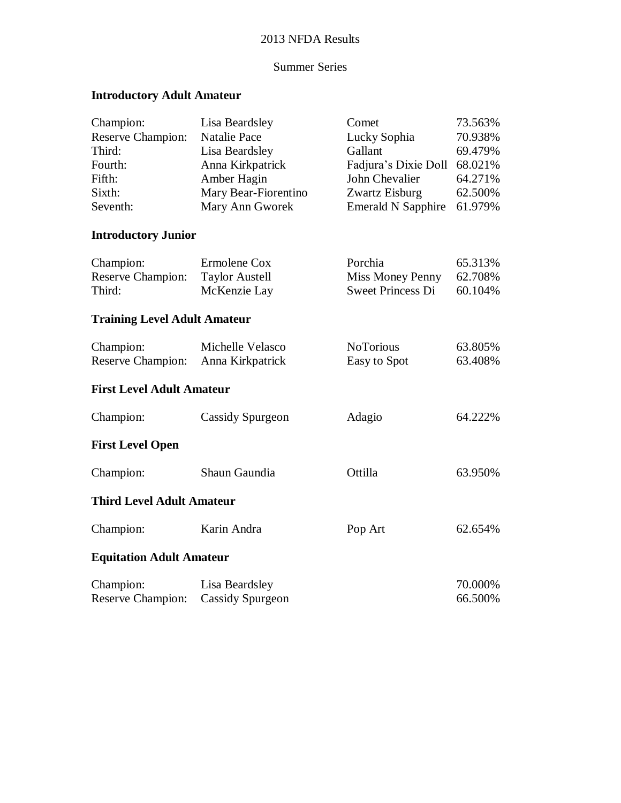# 2013 NFDA Results

## Summer Series

# **Introductory Adult Amateur**

| Champion:                           | Lisa Beardsley          | Comet                     | 73.563% |
|-------------------------------------|-------------------------|---------------------------|---------|
| <b>Reserve Champion:</b>            | <b>Natalie Pace</b>     | Lucky Sophia              | 70.938% |
| Third:                              | Lisa Beardsley          | Gallant                   | 69.479% |
| Fourth:                             | Anna Kirkpatrick        | Fadjura's Dixie Doll      | 68.021% |
| Fifth:                              | Amber Hagin             | John Chevalier            | 64.271% |
| Sixth:                              | Mary Bear-Fiorentino    | Zwartz Eisburg            | 62.500% |
| Seventh:                            | Mary Ann Gworek         | <b>Emerald N Sapphire</b> | 61.979% |
| <b>Introductory Junior</b>          |                         |                           |         |
| Champion:                           | Ermolene Cox            | Porchia                   | 65.313% |
| <b>Reserve Champion:</b>            | <b>Taylor Austell</b>   | Miss Money Penny          | 62.708% |
| Third:                              | McKenzie Lay            | <b>Sweet Princess Di</b>  | 60.104% |
| <b>Training Level Adult Amateur</b> |                         |                           |         |
| Champion:                           | Michelle Velasco        | <b>NoTorious</b>          | 63.805% |
| <b>Reserve Champion:</b>            | Anna Kirkpatrick        | Easy to Spot              | 63.408% |
| <b>First Level Adult Amateur</b>    |                         |                           |         |
| Champion:                           | Cassidy Spurgeon        | Adagio                    | 64.222% |
| <b>First Level Open</b>             |                         |                           |         |
| Champion:                           | Shaun Gaundia           | Ottilla                   | 63.950% |
| <b>Third Level Adult Amateur</b>    |                         |                           |         |
| Champion:                           | Karin Andra             | Pop Art                   | 62.654% |
| <b>Equitation Adult Amateur</b>     |                         |                           |         |
| Champion:                           | Lisa Beardsley          |                           | 70.000% |
| <b>Reserve Champion:</b>            | <b>Cassidy Spurgeon</b> |                           | 66.500% |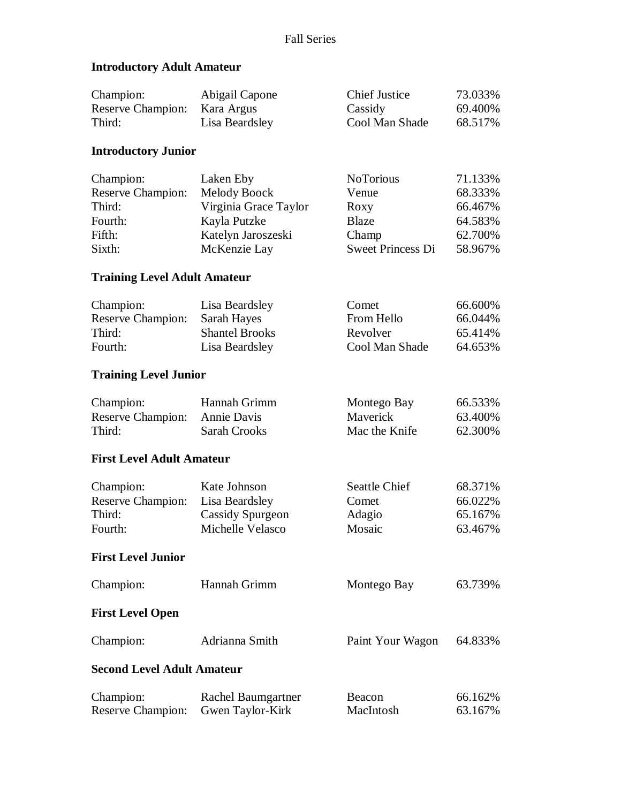## **Introductory Adult Amateur**

| Champion:                | Abigail Capone | <b>Chief Justice</b> | 73.033% |
|--------------------------|----------------|----------------------|---------|
| <b>Reserve Champion:</b> | Kara Argus     | Cassidy              | 69.400% |
| Third:                   | Lisa Beardsley | Cool Man Shade       | 68.517% |

#### **Introductory Junior**

| Champion:                | Laken Eby             | <b>NoTorious</b>         | 71.133% |
|--------------------------|-----------------------|--------------------------|---------|
| <b>Reserve Champion:</b> | Melody Boock          | Venue                    | 68.333% |
| Third:                   | Virginia Grace Taylor | Roxy                     | 66.467% |
| Fourth:                  | Kayla Putzke          | <b>Blaze</b>             | 64.583% |
| Fifth:                   | Katelyn Jaroszeski    | Champ                    | 62.700% |
| Sixth:                   | McKenzie Lay          | <b>Sweet Princess Di</b> | 58.967% |

### **Training Level Adult Amateur**

| Champion:         | Lisa Beardsley        | Comet          | 66.600\% |
|-------------------|-----------------------|----------------|----------|
| Reserve Champion: | Sarah Hayes           | From Hello     | 66.044%  |
| Third:            | <b>Shantel Brooks</b> | Revolver       | 65.414%  |
| Fourth:           | Lisa Beardsley        | Cool Man Shade | 64.653%  |

### **Training Level Junior**

| Champion:                     | Hannah Grimm | Montego Bay     | 66.533%  |
|-------------------------------|--------------|-----------------|----------|
| Reserve Champion: Annie Davis |              | <b>Maverick</b> | 63.400\% |
| Third:                        | Sarah Crooks | Mac the Knife   | 62.300%  |

#### **First Level Adult Amateur**

| Champion:                | Kate Johnson     | Seattle Chief | 68.371% |
|--------------------------|------------------|---------------|---------|
| <b>Reserve Champion:</b> | Lisa Beardsley   | Comet         | 66.022% |
| Third:                   | Cassidy Spurgeon | Adagio        | 65.167% |
| Fourth:                  | Michelle Velasco | Mosaic        | 63.467% |
|                          |                  |               |         |

# **First Level Junior**

| Champion:                         | Hannah Grimm                           | Montego Bay         | 63.739%            |
|-----------------------------------|----------------------------------------|---------------------|--------------------|
| <b>First Level Open</b>           |                                        |                     |                    |
| Champion:                         | Adrianna Smith                         | Paint Your Wagon    | 64.833%            |
| <b>Second Level Adult Amateur</b> |                                        |                     |                    |
| Champion:<br>Reserve Champion:    | Rachel Baumgartner<br>Gwen Taylor-Kirk | Beacon<br>MacIntosh | 66.162%<br>63.167% |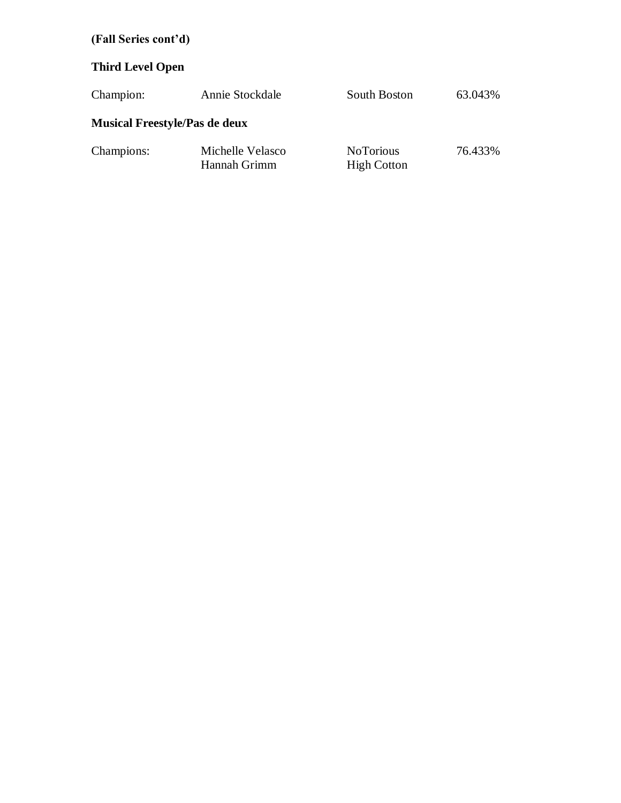# **(Fall Series cont'd)**

# **Third Level Open**

| Champion:                            | Annie Stockdale                  | South Boston                           | 63.043% |
|--------------------------------------|----------------------------------|----------------------------------------|---------|
| <b>Musical Freestyle/Pas de deux</b> |                                  |                                        |         |
| Champions:                           | Michelle Velasco<br>Hannah Grimm | <b>NoTorious</b><br><b>High Cotton</b> | 76.433% |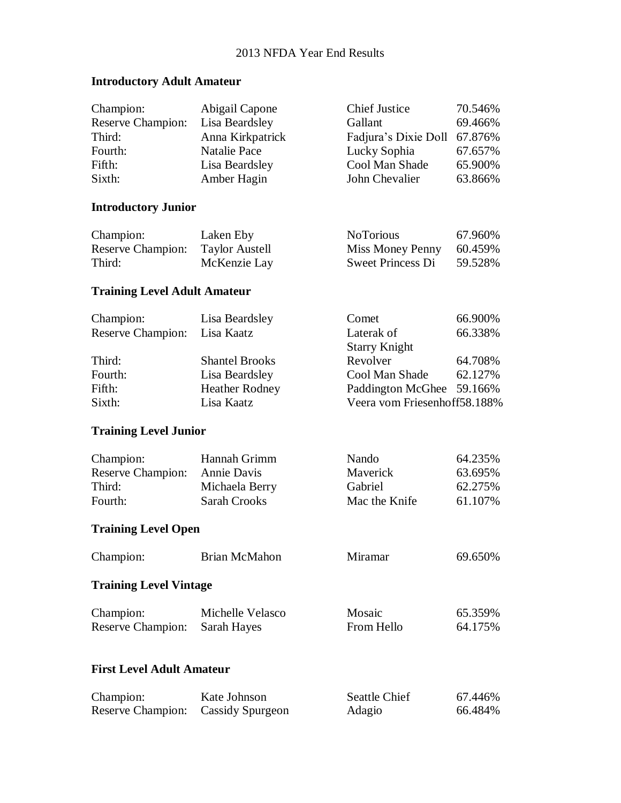# **Introductory Adult Amateur**

| Champion:<br><b>Reserve Champion:</b><br>Third:<br>Fourth:<br>Fifth:<br>Sixth: | Abigail Capone<br>Lisa Beardsley<br>Anna Kirkpatrick<br><b>Natalie Pace</b><br>Lisa Beardsley<br>Amber Hagin | <b>Chief Justice</b><br>Gallant<br>Fadjura's Dixie Doll<br>Lucky Sophia<br>Cool Man Shade<br>John Chevalier | 70.546%<br>69.466%<br>67.876%<br>67.657%<br>65.900%<br>63.866% |
|--------------------------------------------------------------------------------|--------------------------------------------------------------------------------------------------------------|-------------------------------------------------------------------------------------------------------------|----------------------------------------------------------------|
| <b>Introductory Junior</b>                                                     |                                                                                                              |                                                                                                             |                                                                |
| Champion:<br><b>Reserve Champion:</b><br>Third:                                | Laken Eby<br><b>Taylor Austell</b><br>McKenzie Lay                                                           | <b>NoTorious</b><br>Miss Money Penny<br><b>Sweet Princess Di</b>                                            | 67.960%<br>60.459%<br>59.528%                                  |
| <b>Training Level Adult Amateur</b>                                            |                                                                                                              |                                                                                                             |                                                                |
| Champion:<br><b>Reserve Champion:</b>                                          | Lisa Beardsley<br>Lisa Kaatz                                                                                 | Comet<br>Laterak of<br><b>Starry Knight</b>                                                                 | 66.900%<br>66.338%                                             |
| Third:<br>Fourth:<br>Fifth:<br>Sixth:                                          | <b>Shantel Brooks</b><br>Lisa Beardsley<br><b>Heather Rodney</b><br>Lisa Kaatz                               | Revolver<br>Cool Man Shade<br>Paddington McGhee 59.166%<br>Veera vom Friesenhoff58.188%                     | 64.708%<br>62.127%                                             |
| <b>Training Level Junior</b>                                                   |                                                                                                              |                                                                                                             |                                                                |
| Champion:<br>Reserve Champion:<br>Third:<br>Fourth:                            | Hannah Grimm<br>Annie Davis<br>Michaela Berry<br><b>Sarah Crooks</b>                                         | Nando<br>Maverick<br>Gabriel<br>Mac the Knife                                                               | 64.235%<br>63.695%<br>62.275%<br>61.107%                       |
| <b>Training Level Open</b>                                                     |                                                                                                              |                                                                                                             |                                                                |
| Champion:                                                                      | <b>Brian McMahon</b>                                                                                         | Miramar                                                                                                     | 69.650%                                                        |
| <b>Training Level Vintage</b>                                                  |                                                                                                              |                                                                                                             |                                                                |
| Champion:<br><b>Reserve Champion:</b>                                          | Michelle Velasco<br>Sarah Hayes                                                                              | Mosaic<br>From Hello                                                                                        | 65.359%<br>64.175%                                             |
| <b>First Level Adult Amateur</b>                                               |                                                                                                              |                                                                                                             |                                                                |
| Champion:<br>Reserve Champion:                                                 | Kate Johnson<br><b>Cassidy Spurgeon</b>                                                                      | Seattle Chief<br>Adagio                                                                                     | 67.446%<br>66.484%                                             |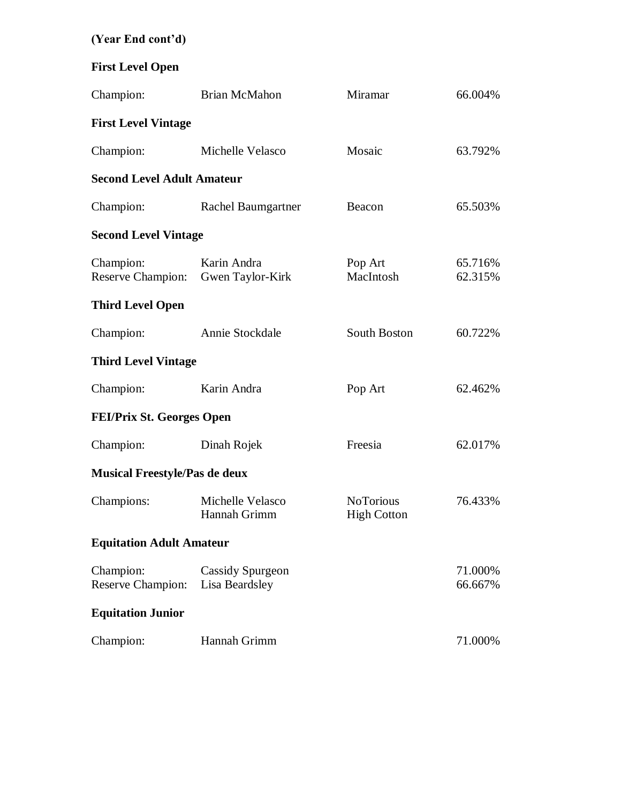# **(Year End cont'd)**

# **First Level Open**

| Champion:                             | <b>Brian McMahon</b>                      | Miramar                                | 66.004%            |
|---------------------------------------|-------------------------------------------|----------------------------------------|--------------------|
| <b>First Level Vintage</b>            |                                           |                                        |                    |
| Champion:                             | Michelle Velasco                          | Mosaic                                 | 63.792%            |
| <b>Second Level Adult Amateur</b>     |                                           |                                        |                    |
| Champion:                             | Rachel Baumgartner                        | Beacon                                 | 65.503%            |
| <b>Second Level Vintage</b>           |                                           |                                        |                    |
| Champion:<br><b>Reserve Champion:</b> | Karin Andra<br>Gwen Taylor-Kirk           | Pop Art<br>MacIntosh                   | 65.716%<br>62.315% |
| <b>Third Level Open</b>               |                                           |                                        |                    |
| Champion:                             | Annie Stockdale                           | South Boston                           | 60.722%            |
| <b>Third Level Vintage</b>            |                                           |                                        |                    |
| Champion:                             | Karin Andra                               | Pop Art                                | 62.462%            |
| <b>FEI/Prix St. Georges Open</b>      |                                           |                                        |                    |
| Champion:                             | Dinah Rojek                               | Freesia                                | 62.017%            |
| <b>Musical Freestyle/Pas de deux</b>  |                                           |                                        |                    |
| Champions:                            | Michelle Velasco<br>Hannah Grimm          | <b>NoTorious</b><br><b>High Cotton</b> | 76.433%            |
| <b>Equitation Adult Amateur</b>       |                                           |                                        |                    |
| Champion:<br><b>Reserve Champion:</b> | <b>Cassidy Spurgeon</b><br>Lisa Beardsley |                                        | 71.000%<br>66.667% |
| <b>Equitation Junior</b>              |                                           |                                        |                    |
| Champion:                             | Hannah Grimm                              |                                        | 71.000%            |